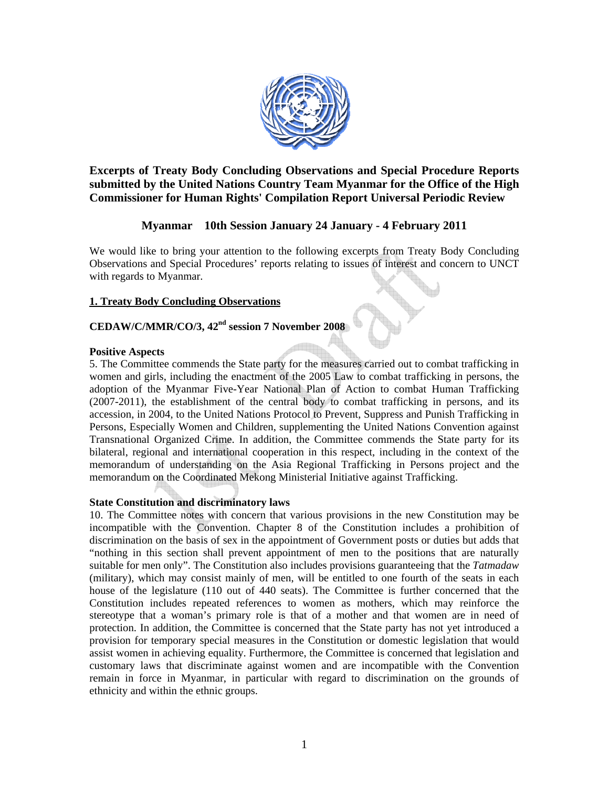

**Excerpts of Treaty Body Concluding Observations and Special Procedure Reports submitted by the United Nations Country Team Myanmar for the Office of the High Commissioner for Human Rights' Compilation Report Universal Periodic Review** 

# **Myanmar 10th Session January 24 January - 4 February 2011**

We would like to bring your attention to the following excerpts from Treaty Body Concluding Observations and Special Procedures' reports relating to issues of interest and concern to UNCT with regards to Myanmar.

## **1. Treaty Body Concluding Observations**

# **CEDAW/C/MMR/CO/3, 42nd session 7 November 2008**

## **Positive Aspects**

5. The Committee commends the State party for the measures carried out to combat trafficking in women and girls, including the enactment of the 2005 Law to combat trafficking in persons, the adoption of the Myanmar Five-Year National Plan of Action to combat Human Trafficking (2007-2011), the establishment of the central body to combat trafficking in persons, and its accession, in 2004, to the United Nations Protocol to Prevent, Suppress and Punish Trafficking in Persons, Especially Women and Children, supplementing the United Nations Convention against Transnational Organized Crime. In addition, the Committee commends the State party for its bilateral, regional and international cooperation in this respect, including in the context of the memorandum of understanding on the Asia Regional Trafficking in Persons project and the memorandum on the Coordinated Mekong Ministerial Initiative against Trafficking.

## **State Constitution and discriminatory laws**

10. The Committee notes with concern that various provisions in the new Constitution may be incompatible with the Convention. Chapter 8 of the Constitution includes a prohibition of discrimination on the basis of sex in the appointment of Government posts or duties but adds that "nothing in this section shall prevent appointment of men to the positions that are naturally suitable for men only". The Constitution also includes provisions guaranteeing that the *Tatmadaw* (military), which may consist mainly of men, will be entitled to one fourth of the seats in each house of the legislature (110 out of 440 seats). The Committee is further concerned that the Constitution includes repeated references to women as mothers, which may reinforce the stereotype that a woman's primary role is that of a mother and that women are in need of protection. In addition, the Committee is concerned that the State party has not yet introduced a provision for temporary special measures in the Constitution or domestic legislation that would assist women in achieving equality. Furthermore, the Committee is concerned that legislation and customary laws that discriminate against women and are incompatible with the Convention remain in force in Myanmar, in particular with regard to discrimination on the grounds of ethnicity and within the ethnic groups.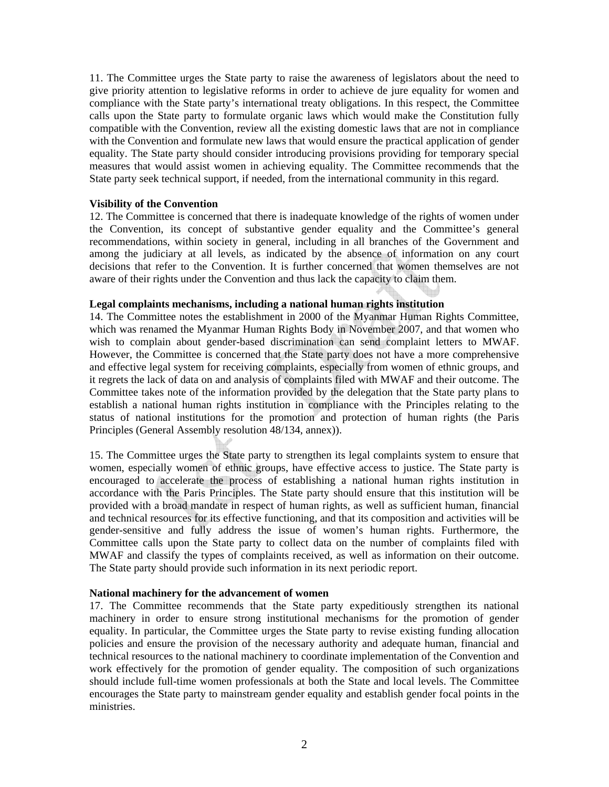11. The Committee urges the State party to raise the awareness of legislators about the need to give priority attention to legislative reforms in order to achieve de jure equality for women and compliance with the State party's international treaty obligations. In this respect, the Committee calls upon the State party to formulate organic laws which would make the Constitution fully compatible with the Convention, review all the existing domestic laws that are not in compliance with the Convention and formulate new laws that would ensure the practical application of gender equality. The State party should consider introducing provisions providing for temporary special measures that would assist women in achieving equality. The Committee recommends that the State party seek technical support, if needed, from the international community in this regard.

## **Visibility of the Convention**

12. The Committee is concerned that there is inadequate knowledge of the rights of women under the Convention, its concept of substantive gender equality and the Committee's general recommendations, within society in general, including in all branches of the Government and among the judiciary at all levels, as indicated by the absence of information on any court decisions that refer to the Convention. It is further concerned that women themselves are not aware of their rights under the Convention and thus lack the capacity to claim them.

## **Legal complaints mechanisms, including a national human rights institution**

14. The Committee notes the establishment in 2000 of the Myanmar Human Rights Committee, which was renamed the Myanmar Human Rights Body in November 2007, and that women who wish to complain about gender-based discrimination can send complaint letters to MWAF. However, the Committee is concerned that the State party does not have a more comprehensive and effective legal system for receiving complaints, especially from women of ethnic groups, and it regrets the lack of data on and analysis of complaints filed with MWAF and their outcome. The Committee takes note of the information provided by the delegation that the State party plans to establish a national human rights institution in compliance with the Principles relating to the status of national institutions for the promotion and protection of human rights (the Paris Principles (General Assembly resolution 48/134, annex)).

15. The Committee urges the State party to strengthen its legal complaints system to ensure that women, especially women of ethnic groups, have effective access to justice. The State party is encouraged to accelerate the process of establishing a national human rights institution in accordance with the Paris Principles. The State party should ensure that this institution will be provided with a broad mandate in respect of human rights, as well as sufficient human, financial and technical resources for its effective functioning, and that its composition and activities will be gender-sensitive and fully address the issue of women's human rights. Furthermore, the Committee calls upon the State party to collect data on the number of complaints filed with MWAF and classify the types of complaints received, as well as information on their outcome. The State party should provide such information in its next periodic report.

#### **National machinery for the advancement of women**

17. The Committee recommends that the State party expeditiously strengthen its national machinery in order to ensure strong institutional mechanisms for the promotion of gender equality. In particular, the Committee urges the State party to revise existing funding allocation policies and ensure the provision of the necessary authority and adequate human, financial and technical resources to the national machinery to coordinate implementation of the Convention and work effectively for the promotion of gender equality. The composition of such organizations should include full-time women professionals at both the State and local levels. The Committee encourages the State party to mainstream gender equality and establish gender focal points in the ministries.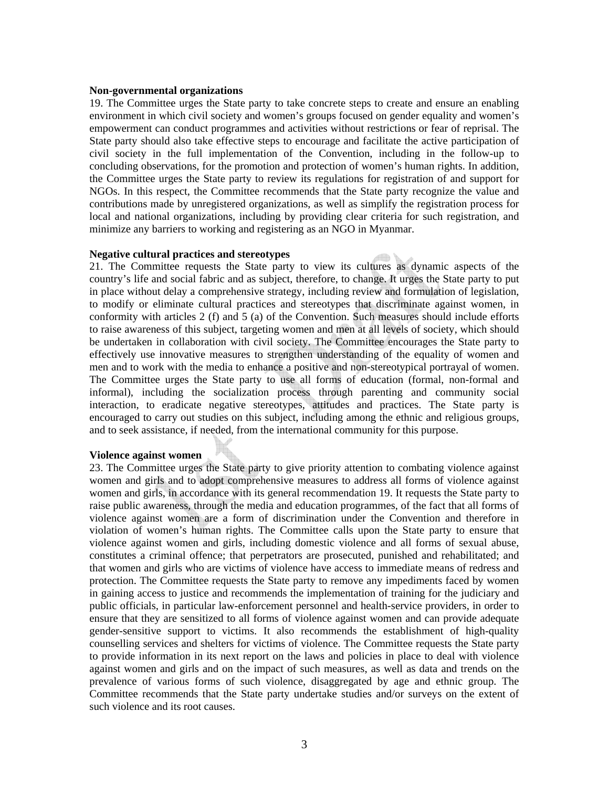#### **Non-governmental organizations**

19. The Committee urges the State party to take concrete steps to create and ensure an enabling environment in which civil society and women's groups focused on gender equality and women's empowerment can conduct programmes and activities without restrictions or fear of reprisal. The State party should also take effective steps to encourage and facilitate the active participation of civil society in the full implementation of the Convention, including in the follow-up to concluding observations, for the promotion and protection of women's human rights. In addition, the Committee urges the State party to review its regulations for registration of and support for NGOs. In this respect, the Committee recommends that the State party recognize the value and contributions made by unregistered organizations, as well as simplify the registration process for local and national organizations, including by providing clear criteria for such registration, and minimize any barriers to working and registering as an NGO in Myanmar.

#### **Negative cultural practices and stereotypes**

21. The Committee requests the State party to view its cultures as dynamic aspects of the country's life and social fabric and as subject, therefore, to change. It urges the State party to put in place without delay a comprehensive strategy, including review and formulation of legislation, to modify or eliminate cultural practices and stereotypes that discriminate against women, in conformity with articles 2 (f) and 5 (a) of the Convention. Such measures should include efforts to raise awareness of this subject, targeting women and men at all levels of society, which should be undertaken in collaboration with civil society. The Committee encourages the State party to effectively use innovative measures to strengthen understanding of the equality of women and men and to work with the media to enhance a positive and non-stereotypical portrayal of women. The Committee urges the State party to use all forms of education (formal, non-formal and informal), including the socialization process through parenting and community social interaction, to eradicate negative stereotypes, attitudes and practices. The State party is encouraged to carry out studies on this subject, including among the ethnic and religious groups, and to seek assistance, if needed, from the international community for this purpose.

#### **Violence against women**

23. The Committee urges the State party to give priority attention to combating violence against women and girls and to adopt comprehensive measures to address all forms of violence against women and girls, in accordance with its general recommendation 19. It requests the State party to raise public awareness, through the media and education programmes, of the fact that all forms of violence against women are a form of discrimination under the Convention and therefore in violation of women's human rights. The Committee calls upon the State party to ensure that violence against women and girls, including domestic violence and all forms of sexual abuse, constitutes a criminal offence; that perpetrators are prosecuted, punished and rehabilitated; and that women and girls who are victims of violence have access to immediate means of redress and protection. The Committee requests the State party to remove any impediments faced by women in gaining access to justice and recommends the implementation of training for the judiciary and public officials, in particular law-enforcement personnel and health-service providers, in order to ensure that they are sensitized to all forms of violence against women and can provide adequate gender-sensitive support to victims. It also recommends the establishment of high-quality counselling services and shelters for victims of violence. The Committee requests the State party to provide information in its next report on the laws and policies in place to deal with violence against women and girls and on the impact of such measures, as well as data and trends on the prevalence of various forms of such violence, disaggregated by age and ethnic group. The Committee recommends that the State party undertake studies and/or surveys on the extent of such violence and its root causes.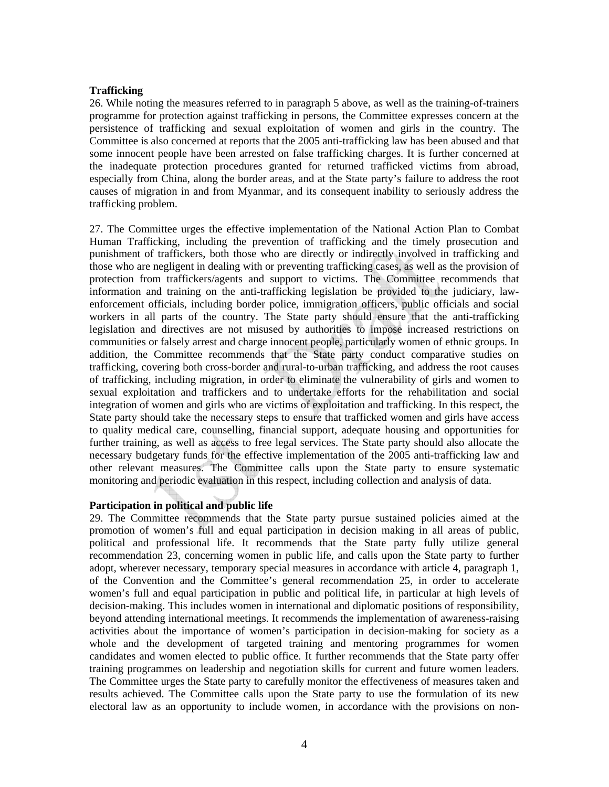## **Trafficking**

26. While noting the measures referred to in paragraph 5 above, as well as the training-of-trainers programme for protection against trafficking in persons, the Committee expresses concern at the persistence of trafficking and sexual exploitation of women and girls in the country. The Committee is also concerned at reports that the 2005 anti-trafficking law has been abused and that some innocent people have been arrested on false trafficking charges. It is further concerned at the inadequate protection procedures granted for returned trafficked victims from abroad, especially from China, along the border areas, and at the State party's failure to address the root causes of migration in and from Myanmar, and its consequent inability to seriously address the trafficking problem.

27. The Committee urges the effective implementation of the National Action Plan to Combat Human Trafficking, including the prevention of trafficking and the timely prosecution and punishment of traffickers, both those who are directly or indirectly involved in trafficking and those who are negligent in dealing with or preventing trafficking cases, as well as the provision of protection from traffickers/agents and support to victims. The Committee recommends that information and training on the anti-trafficking legislation be provided to the judiciary, lawenforcement officials, including border police, immigration officers, public officials and social workers in all parts of the country. The State party should ensure that the anti-trafficking legislation and directives are not misused by authorities to impose increased restrictions on communities or falsely arrest and charge innocent people, particularly women of ethnic groups. In addition, the Committee recommends that the State party conduct comparative studies on trafficking, covering both cross-border and rural-to-urban trafficking, and address the root causes of trafficking, including migration, in order to eliminate the vulnerability of girls and women to sexual exploitation and traffickers and to undertake efforts for the rehabilitation and social integration of women and girls who are victims of exploitation and trafficking. In this respect, the State party should take the necessary steps to ensure that trafficked women and girls have access to quality medical care, counselling, financial support, adequate housing and opportunities for further training, as well as access to free legal services. The State party should also allocate the necessary budgetary funds for the effective implementation of the 2005 anti-trafficking law and other relevant measures. The Committee calls upon the State party to ensure systematic monitoring and periodic evaluation in this respect, including collection and analysis of data.

## **Participation in political and public life**

29. The Committee recommends that the State party pursue sustained policies aimed at the promotion of women's full and equal participation in decision making in all areas of public, political and professional life. It recommends that the State party fully utilize general recommendation 23, concerning women in public life, and calls upon the State party to further adopt, wherever necessary, temporary special measures in accordance with article 4, paragraph 1, of the Convention and the Committee's general recommendation 25, in order to accelerate women's full and equal participation in public and political life, in particular at high levels of decision-making. This includes women in international and diplomatic positions of responsibility, beyond attending international meetings. It recommends the implementation of awareness-raising activities about the importance of women's participation in decision-making for society as a whole and the development of targeted training and mentoring programmes for women candidates and women elected to public office. It further recommends that the State party offer training programmes on leadership and negotiation skills for current and future women leaders. The Committee urges the State party to carefully monitor the effectiveness of measures taken and results achieved. The Committee calls upon the State party to use the formulation of its new electoral law as an opportunity to include women, in accordance with the provisions on non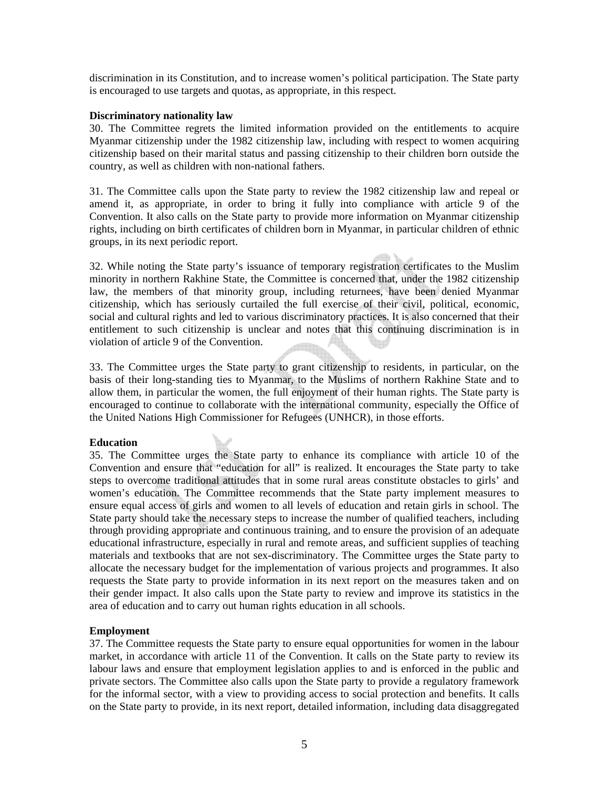discrimination in its Constitution, and to increase women's political participation. The State party is encouraged to use targets and quotas, as appropriate, in this respect.

## **Discriminatory nationality law**

30. The Committee regrets the limited information provided on the entitlements to acquire Myanmar citizenship under the 1982 citizenship law, including with respect to women acquiring citizenship based on their marital status and passing citizenship to their children born outside the country, as well as children with non-national fathers.

31. The Committee calls upon the State party to review the 1982 citizenship law and repeal or amend it, as appropriate, in order to bring it fully into compliance with article 9 of the Convention. It also calls on the State party to provide more information on Myanmar citizenship rights, including on birth certificates of children born in Myanmar, in particular children of ethnic groups, in its next periodic report.

32. While noting the State party's issuance of temporary registration certificates to the Muslim minority in northern Rakhine State, the Committee is concerned that, under the 1982 citizenship law, the members of that minority group, including returnees, have been denied Myanmar citizenship, which has seriously curtailed the full exercise of their civil, political, economic, social and cultural rights and led to various discriminatory practices. It is also concerned that their entitlement to such citizenship is unclear and notes that this continuing discrimination is in violation of article 9 of the Convention.

33. The Committee urges the State party to grant citizenship to residents, in particular, on the basis of their long-standing ties to Myanmar, to the Muslims of northern Rakhine State and to allow them, in particular the women, the full enjoyment of their human rights. The State party is encouraged to continue to collaborate with the international community, especially the Office of the United Nations High Commissioner for Refugees (UNHCR), in those efforts.

## **Education**

35. The Committee urges the State party to enhance its compliance with article 10 of the Convention and ensure that "education for all" is realized. It encourages the State party to take steps to overcome traditional attitudes that in some rural areas constitute obstacles to girls' and women's education. The Committee recommends that the State party implement measures to ensure equal access of girls and women to all levels of education and retain girls in school. The State party should take the necessary steps to increase the number of qualified teachers, including through providing appropriate and continuous training, and to ensure the provision of an adequate educational infrastructure, especially in rural and remote areas, and sufficient supplies of teaching materials and textbooks that are not sex-discriminatory. The Committee urges the State party to allocate the necessary budget for the implementation of various projects and programmes. It also requests the State party to provide information in its next report on the measures taken and on their gender impact. It also calls upon the State party to review and improve its statistics in the area of education and to carry out human rights education in all schools.

## **Employment**

37. The Committee requests the State party to ensure equal opportunities for women in the labour market, in accordance with article 11 of the Convention. It calls on the State party to review its labour laws and ensure that employment legislation applies to and is enforced in the public and private sectors. The Committee also calls upon the State party to provide a regulatory framework for the informal sector, with a view to providing access to social protection and benefits. It calls on the State party to provide, in its next report, detailed information, including data disaggregated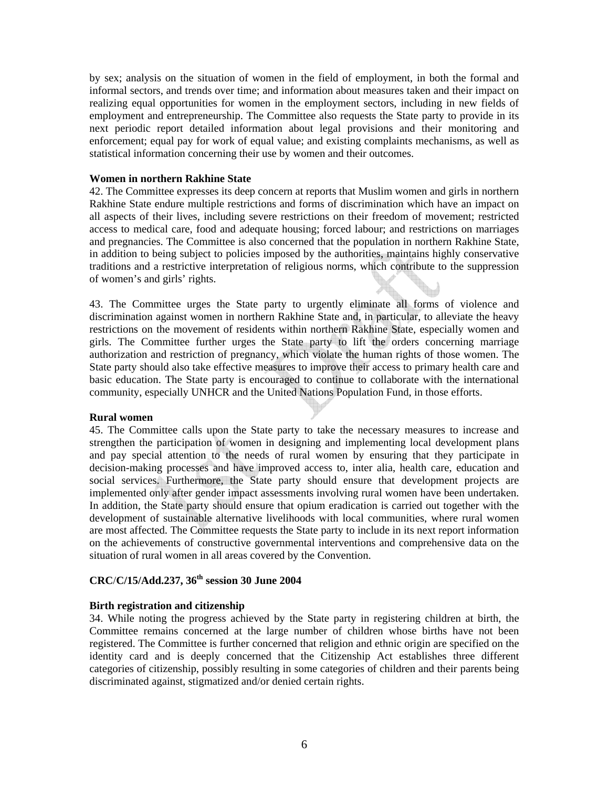by sex; analysis on the situation of women in the field of employment, in both the formal and informal sectors, and trends over time; and information about measures taken and their impact on realizing equal opportunities for women in the employment sectors, including in new fields of employment and entrepreneurship. The Committee also requests the State party to provide in its next periodic report detailed information about legal provisions and their monitoring and enforcement; equal pay for work of equal value; and existing complaints mechanisms, as well as statistical information concerning their use by women and their outcomes.

#### **Women in northern Rakhine State**

42. The Committee expresses its deep concern at reports that Muslim women and girls in northern Rakhine State endure multiple restrictions and forms of discrimination which have an impact on all aspects of their lives, including severe restrictions on their freedom of movement; restricted access to medical care, food and adequate housing; forced labour; and restrictions on marriages and pregnancies. The Committee is also concerned that the population in northern Rakhine State, in addition to being subject to policies imposed by the authorities, maintains highly conservative traditions and a restrictive interpretation of religious norms, which contribute to the suppression of women's and girls' rights.

43. The Committee urges the State party to urgently eliminate all forms of violence and discrimination against women in northern Rakhine State and, in particular, to alleviate the heavy restrictions on the movement of residents within northern Rakhine State, especially women and girls. The Committee further urges the State party to lift the orders concerning marriage authorization and restriction of pregnancy, which violate the human rights of those women. The State party should also take effective measures to improve their access to primary health care and basic education. The State party is encouraged to continue to collaborate with the international community, especially UNHCR and the United Nations Population Fund, in those efforts.

#### **Rural women**

45. The Committee calls upon the State party to take the necessary measures to increase and strengthen the participation of women in designing and implementing local development plans and pay special attention to the needs of rural women by ensuring that they participate in decision-making processes and have improved access to, inter alia, health care, education and social services. Furthermore, the State party should ensure that development projects are implemented only after gender impact assessments involving rural women have been undertaken. In addition, the State party should ensure that opium eradication is carried out together with the development of sustainable alternative livelihoods with local communities, where rural women are most affected. The Committee requests the State party to include in its next report information on the achievements of constructive governmental interventions and comprehensive data on the situation of rural women in all areas covered by the Convention.

## **CRC**/**C/15/Add.237, 36th session 30 June 2004**

#### **Birth registration and citizenship**

34. While noting the progress achieved by the State party in registering children at birth, the Committee remains concerned at the large number of children whose births have not been registered. The Committee is further concerned that religion and ethnic origin are specified on the identity card and is deeply concerned that the Citizenship Act establishes three different categories of citizenship, possibly resulting in some categories of children and their parents being discriminated against, stigmatized and/or denied certain rights.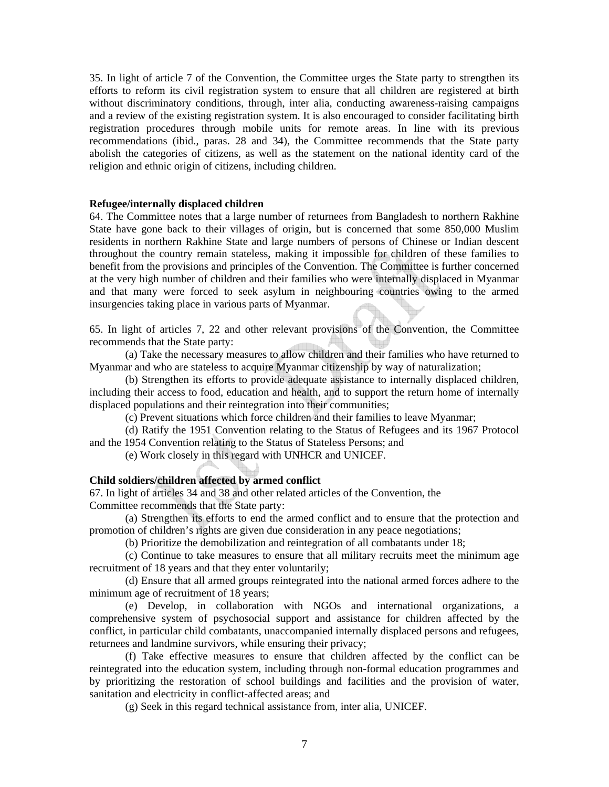35. In light of article 7 of the Convention, the Committee urges the State party to strengthen its efforts to reform its civil registration system to ensure that all children are registered at birth without discriminatory conditions, through, inter alia, conducting awareness-raising campaigns and a review of the existing registration system. It is also encouraged to consider facilitating birth registration procedures through mobile units for remote areas. In line with its previous recommendations (ibid., paras. 28 and 34), the Committee recommends that the State party abolish the categories of citizens, as well as the statement on the national identity card of the religion and ethnic origin of citizens, including children.

#### **Refugee/internally displaced children**

64. The Committee notes that a large number of returnees from Bangladesh to northern Rakhine State have gone back to their villages of origin, but is concerned that some 850,000 Muslim residents in northern Rakhine State and large numbers of persons of Chinese or Indian descent throughout the country remain stateless, making it impossible for children of these families to benefit from the provisions and principles of the Convention. The Committee is further concerned at the very high number of children and their families who were internally displaced in Myanmar and that many were forced to seek asylum in neighbouring countries owing to the armed insurgencies taking place in various parts of Myanmar.

65. In light of articles 7, 22 and other relevant provisions of the Convention, the Committee recommends that the State party:

(a) Take the necessary measures to allow children and their families who have returned to Myanmar and who are stateless to acquire Myanmar citizenship by way of naturalization;

(b) Strengthen its efforts to provide adequate assistance to internally displaced children, including their access to food, education and health, and to support the return home of internally displaced populations and their reintegration into their communities;

(c) Prevent situations which force children and their families to leave Myanmar;

(d) Ratify the 1951 Convention relating to the Status of Refugees and its 1967 Protocol and the 1954 Convention relating to the Status of Stateless Persons; and

(e) Work closely in this regard with UNHCR and UNICEF.

#### **Child soldiers/children affected by armed conflict**

67. In light of articles 34 and 38 and other related articles of the Convention, the Committee recommends that the State party:

(a) Strengthen its efforts to end the armed conflict and to ensure that the protection and promotion of children's rights are given due consideration in any peace negotiations;

(b) Prioritize the demobilization and reintegration of all combatants under 18;

(c) Continue to take measures to ensure that all military recruits meet the minimum age recruitment of 18 years and that they enter voluntarily;

(d) Ensure that all armed groups reintegrated into the national armed forces adhere to the minimum age of recruitment of 18 years;

(e) Develop, in collaboration with NGOs and international organizations, a comprehensive system of psychosocial support and assistance for children affected by the conflict, in particular child combatants, unaccompanied internally displaced persons and refugees, returnees and landmine survivors, while ensuring their privacy;

(f) Take effective measures to ensure that children affected by the conflict can be reintegrated into the education system, including through non-formal education programmes and by prioritizing the restoration of school buildings and facilities and the provision of water, sanitation and electricity in conflict-affected areas; and

(g) Seek in this regard technical assistance from, inter alia, UNICEF.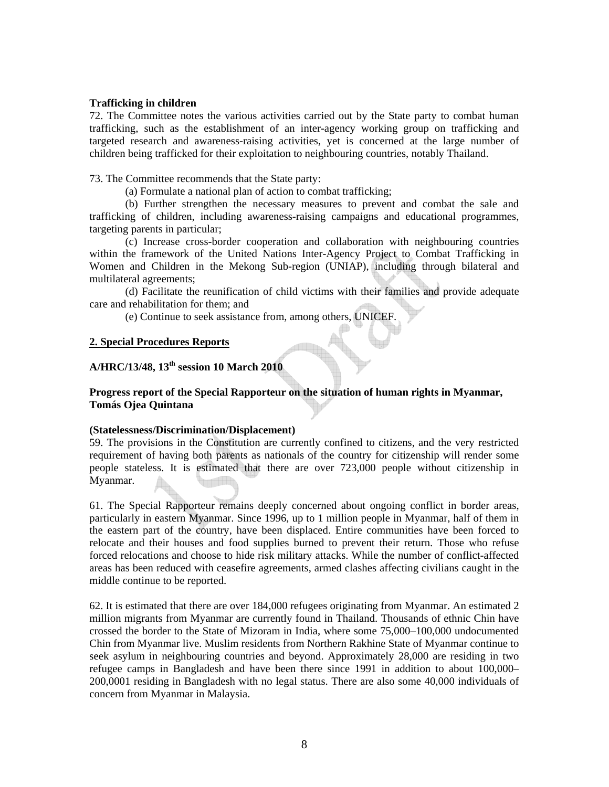## **Trafficking in children**

72. The Committee notes the various activities carried out by the State party to combat human trafficking, such as the establishment of an inter-agency working group on trafficking and targeted research and awareness-raising activities, yet is concerned at the large number of children being trafficked for their exploitation to neighbouring countries, notably Thailand.

## 73. The Committee recommends that the State party:

(a) Formulate a national plan of action to combat trafficking;

(b) Further strengthen the necessary measures to prevent and combat the sale and trafficking of children, including awareness-raising campaigns and educational programmes, targeting parents in particular;

(c) Increase cross-border cooperation and collaboration with neighbouring countries within the framework of the United Nations Inter-Agency Project to Combat Trafficking in Women and Children in the Mekong Sub-region (UNIAP), including through bilateral and multilateral agreements;

(d) Facilitate the reunification of child victims with their families and provide adequate care and rehabilitation for them; and

(e) Continue to seek assistance from, among others, UNICEF.

## **2. Special Procedures Reports**

# **A/HRC/13/48, 13th session 10 March 2010**

## **Progress report of the Special Rapporteur on the situation of human rights in Myanmar, Tomás Ojea Quintana**

#### **(Statelessness/Discrimination/Displacement)**

59. The provisions in the Constitution are currently confined to citizens, and the very restricted requirement of having both parents as nationals of the country for citizenship will render some people stateless. It is estimated that there are over 723,000 people without citizenship in Myanmar.

61. The Special Rapporteur remains deeply concerned about ongoing conflict in border areas, particularly in eastern Myanmar. Since 1996, up to 1 million people in Myanmar, half of them in the eastern part of the country, have been displaced. Entire communities have been forced to relocate and their houses and food supplies burned to prevent their return. Those who refuse forced relocations and choose to hide risk military attacks. While the number of conflict-affected areas has been reduced with ceasefire agreements, armed clashes affecting civilians caught in the middle continue to be reported.

62. It is estimated that there are over 184,000 refugees originating from Myanmar. An estimated 2 million migrants from Myanmar are currently found in Thailand. Thousands of ethnic Chin have crossed the border to the State of Mizoram in India, where some 75,000–100,000 undocumented Chin from Myanmar live. Muslim residents from Northern Rakhine State of Myanmar continue to seek asylum in neighbouring countries and beyond. Approximately 28,000 are residing in two refugee camps in Bangladesh and have been there since 1991 in addition to about 100,000– 200,0001 residing in Bangladesh with no legal status. There are also some 40,000 individuals of concern from Myanmar in Malaysia.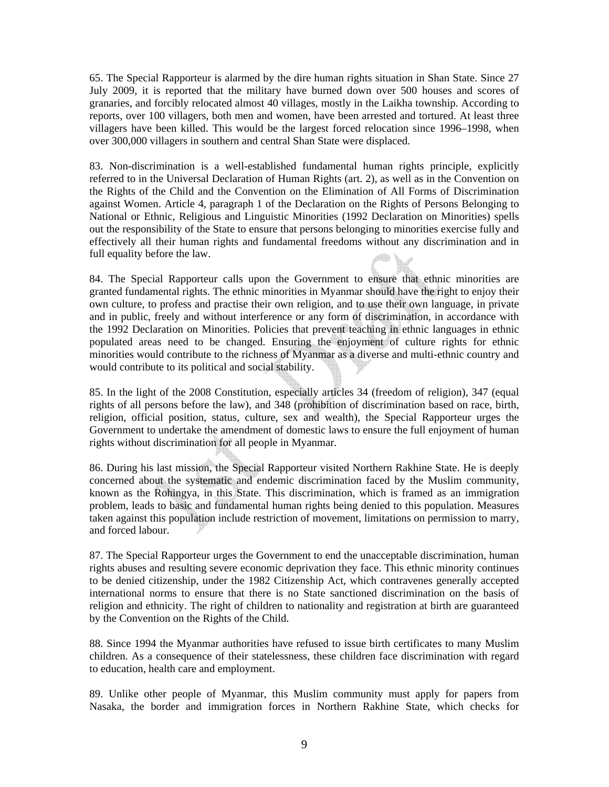65. The Special Rapporteur is alarmed by the dire human rights situation in Shan State. Since 27 July 2009, it is reported that the military have burned down over 500 houses and scores of granaries, and forcibly relocated almost 40 villages, mostly in the Laikha township. According to reports, over 100 villagers, both men and women, have been arrested and tortured. At least three villagers have been killed. This would be the largest forced relocation since 1996–1998, when over 300,000 villagers in southern and central Shan State were displaced.

83. Non-discrimination is a well-established fundamental human rights principle, explicitly referred to in the Universal Declaration of Human Rights (art. 2), as well as in the Convention on the Rights of the Child and the Convention on the Elimination of All Forms of Discrimination against Women. Article 4, paragraph 1 of the Declaration on the Rights of Persons Belonging to National or Ethnic, Religious and Linguistic Minorities (1992 Declaration on Minorities) spells out the responsibility of the State to ensure that persons belonging to minorities exercise fully and effectively all their human rights and fundamental freedoms without any discrimination and in full equality before the law. filio

84. The Special Rapporteur calls upon the Government to ensure that ethnic minorities are granted fundamental rights. The ethnic minorities in Myanmar should have the right to enjoy their own culture, to profess and practise their own religion, and to use their own language, in private and in public, freely and without interference or any form of discrimination, in accordance with the 1992 Declaration on Minorities. Policies that prevent teaching in ethnic languages in ethnic populated areas need to be changed. Ensuring the enjoyment of culture rights for ethnic minorities would contribute to the richness of Myanmar as a diverse and multi-ethnic country and would contribute to its political and social stability.

85. In the light of the 2008 Constitution, especially articles 34 (freedom of religion), 347 (equal rights of all persons before the law), and 348 (prohibition of discrimination based on race, birth, religion, official position, status, culture, sex and wealth), the Special Rapporteur urges the Government to undertake the amendment of domestic laws to ensure the full enjoyment of human rights without discrimination for all people in Myanmar.

86. During his last mission, the Special Rapporteur visited Northern Rakhine State. He is deeply concerned about the systematic and endemic discrimination faced by the Muslim community, known as the Rohingya, in this State. This discrimination, which is framed as an immigration problem, leads to basic and fundamental human rights being denied to this population. Measures taken against this population include restriction of movement, limitations on permission to marry, and forced labour.

87. The Special Rapporteur urges the Government to end the unacceptable discrimination, human rights abuses and resulting severe economic deprivation they face. This ethnic minority continues to be denied citizenship, under the 1982 Citizenship Act, which contravenes generally accepted international norms to ensure that there is no State sanctioned discrimination on the basis of religion and ethnicity. The right of children to nationality and registration at birth are guaranteed by the Convention on the Rights of the Child.

88. Since 1994 the Myanmar authorities have refused to issue birth certificates to many Muslim children. As a consequence of their statelessness, these children face discrimination with regard to education, health care and employment.

89. Unlike other people of Myanmar, this Muslim community must apply for papers from Nasaka, the border and immigration forces in Northern Rakhine State, which checks for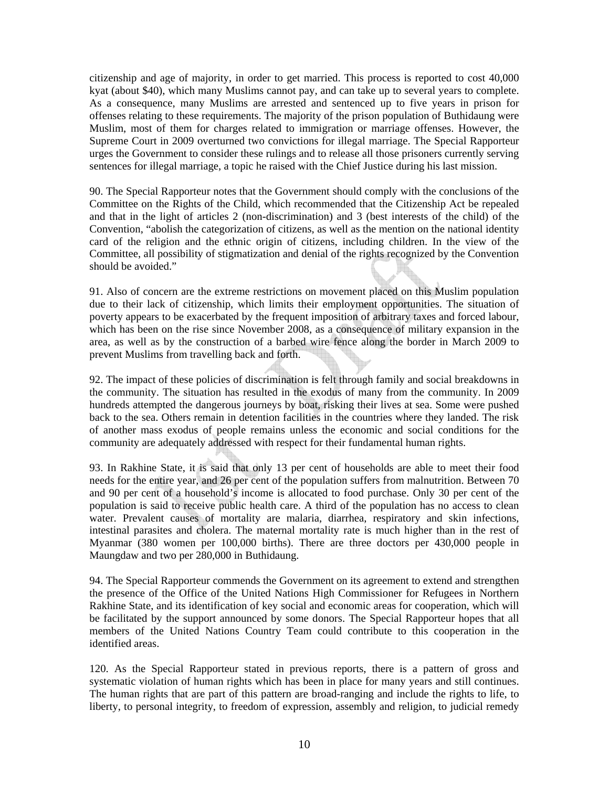citizenship and age of majority, in order to get married. This process is reported to cost 40,000 kyat (about \$40), which many Muslims cannot pay, and can take up to several years to complete. As a consequence, many Muslims are arrested and sentenced up to five years in prison for offenses relating to these requirements. The majority of the prison population of Buthidaung were Muslim, most of them for charges related to immigration or marriage offenses. However, the Supreme Court in 2009 overturned two convictions for illegal marriage. The Special Rapporteur urges the Government to consider these rulings and to release all those prisoners currently serving sentences for illegal marriage, a topic he raised with the Chief Justice during his last mission.

90. The Special Rapporteur notes that the Government should comply with the conclusions of the Committee on the Rights of the Child, which recommended that the Citizenship Act be repealed and that in the light of articles 2 (non-discrimination) and 3 (best interests of the child) of the Convention, "abolish the categorization of citizens, as well as the mention on the national identity card of the religion and the ethnic origin of citizens, including children. In the view of the Committee, all possibility of stigmatization and denial of the rights recognized by the Convention should be avoided."

91. Also of concern are the extreme restrictions on movement placed on this Muslim population due to their lack of citizenship, which limits their employment opportunities. The situation of poverty appears to be exacerbated by the frequent imposition of arbitrary taxes and forced labour, which has been on the rise since November 2008, as a consequence of military expansion in the area, as well as by the construction of a barbed wire fence along the border in March 2009 to prevent Muslims from travelling back and forth.

92. The impact of these policies of discrimination is felt through family and social breakdowns in the community. The situation has resulted in the exodus of many from the community. In 2009 hundreds attempted the dangerous journeys by boat, risking their lives at sea. Some were pushed back to the sea. Others remain in detention facilities in the countries where they landed. The risk of another mass exodus of people remains unless the economic and social conditions for the community are adequately addressed with respect for their fundamental human rights.

93. In Rakhine State, it is said that only 13 per cent of households are able to meet their food needs for the entire year, and 26 per cent of the population suffers from malnutrition. Between 70 and 90 per cent of a household's income is allocated to food purchase. Only 30 per cent of the population is said to receive public health care. A third of the population has no access to clean water. Prevalent causes of mortality are malaria, diarrhea, respiratory and skin infections, intestinal parasites and cholera. The maternal mortality rate is much higher than in the rest of Myanmar (380 women per 100,000 births). There are three doctors per 430,000 people in Maungdaw and two per 280,000 in Buthidaung.

94. The Special Rapporteur commends the Government on its agreement to extend and strengthen the presence of the Office of the United Nations High Commissioner for Refugees in Northern Rakhine State, and its identification of key social and economic areas for cooperation, which will be facilitated by the support announced by some donors. The Special Rapporteur hopes that all members of the United Nations Country Team could contribute to this cooperation in the identified areas.

120. As the Special Rapporteur stated in previous reports, there is a pattern of gross and systematic violation of human rights which has been in place for many years and still continues. The human rights that are part of this pattern are broad-ranging and include the rights to life, to liberty, to personal integrity, to freedom of expression, assembly and religion, to judicial remedy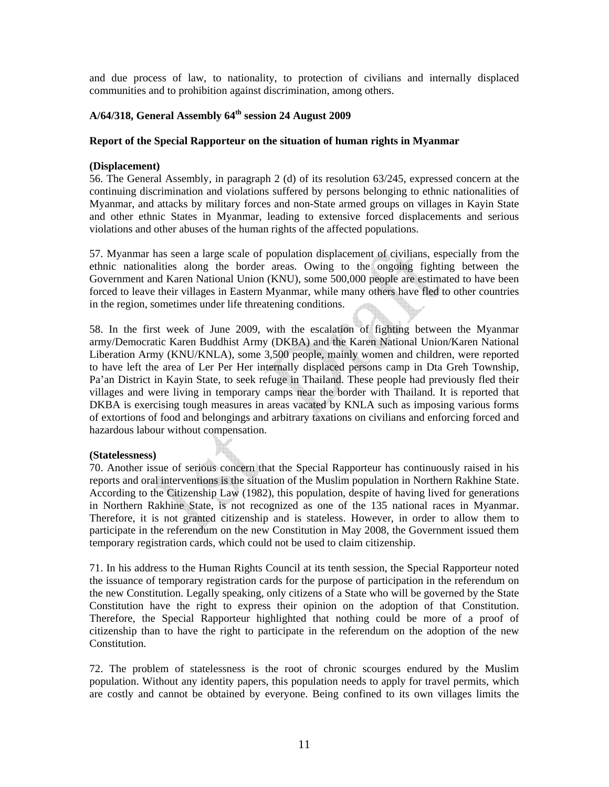and due process of law, to nationality, to protection of civilians and internally displaced communities and to prohibition against discrimination, among others.

## **A/64/318, General Assembly 64th session 24 August 2009**

#### **Report of the Special Rapporteur on the situation of human rights in Myanmar**

#### **(Displacement)**

56. The General Assembly, in paragraph 2 (d) of its resolution 63/245, expressed concern at the continuing discrimination and violations suffered by persons belonging to ethnic nationalities of Myanmar, and attacks by military forces and non-State armed groups on villages in Kayin State and other ethnic States in Myanmar, leading to extensive forced displacements and serious violations and other abuses of the human rights of the affected populations.

57. Myanmar has seen a large scale of population displacement of civilians, especially from the ethnic nationalities along the border areas. Owing to the ongoing fighting between the Government and Karen National Union (KNU), some 500,000 people are estimated to have been forced to leave their villages in Eastern Myanmar, while many others have fled to other countries in the region, sometimes under life threatening conditions.

58. In the first week of June 2009, with the escalation of fighting between the Myanmar army/Democratic Karen Buddhist Army (DKBA) and the Karen National Union/Karen National Liberation Army (KNU/KNLA), some 3,500 people, mainly women and children, were reported to have left the area of Ler Per Her internally displaced persons camp in Dta Greh Township, Pa'an District in Kayin State, to seek refuge in Thailand. These people had previously fled their villages and were living in temporary camps near the border with Thailand. It is reported that DKBA is exercising tough measures in areas vacated by KNLA such as imposing various forms of extortions of food and belongings and arbitrary taxations on civilians and enforcing forced and hazardous labour without compensation.

#### **(Statelessness)**

70. Another issue of serious concern that the Special Rapporteur has continuously raised in his reports and oral interventions is the situation of the Muslim population in Northern Rakhine State. According to the Citizenship Law (1982), this population, despite of having lived for generations in Northern Rakhine State, is not recognized as one of the 135 national races in Myanmar. Therefore, it is not granted citizenship and is stateless. However, in order to allow them to participate in the referendum on the new Constitution in May 2008, the Government issued them temporary registration cards, which could not be used to claim citizenship.

71. In his address to the Human Rights Council at its tenth session, the Special Rapporteur noted the issuance of temporary registration cards for the purpose of participation in the referendum on the new Constitution. Legally speaking, only citizens of a State who will be governed by the State Constitution have the right to express their opinion on the adoption of that Constitution. Therefore, the Special Rapporteur highlighted that nothing could be more of a proof of citizenship than to have the right to participate in the referendum on the adoption of the new **Constitution** 

72. The problem of statelessness is the root of chronic scourges endured by the Muslim population. Without any identity papers, this population needs to apply for travel permits, which are costly and cannot be obtained by everyone. Being confined to its own villages limits the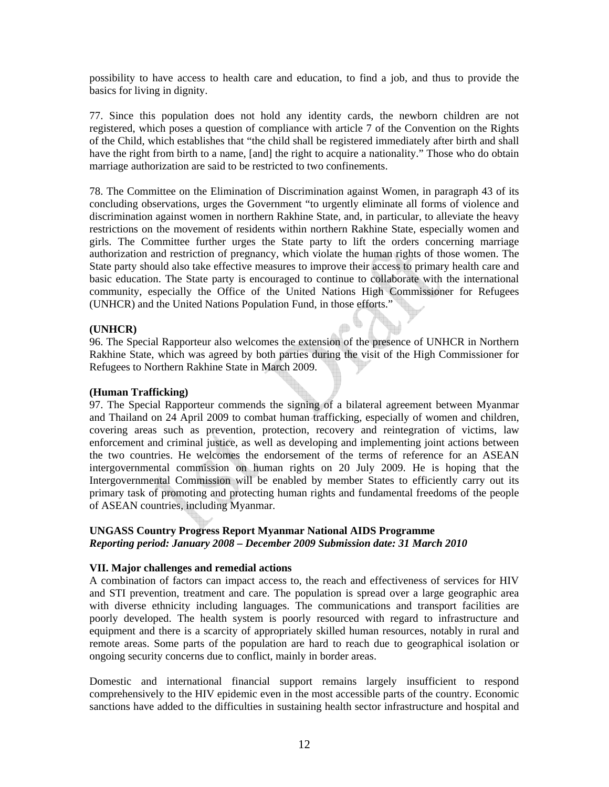possibility to have access to health care and education, to find a job, and thus to provide the basics for living in dignity.

77. Since this population does not hold any identity cards, the newborn children are not registered, which poses a question of compliance with article 7 of the Convention on the Rights of the Child, which establishes that "the child shall be registered immediately after birth and shall have the right from birth to a name, [and] the right to acquire a nationality." Those who do obtain marriage authorization are said to be restricted to two confinements.

78. The Committee on the Elimination of Discrimination against Women, in paragraph 43 of its concluding observations, urges the Government "to urgently eliminate all forms of violence and discrimination against women in northern Rakhine State, and, in particular, to alleviate the heavy restrictions on the movement of residents within northern Rakhine State, especially women and girls. The Committee further urges the State party to lift the orders concerning marriage authorization and restriction of pregnancy, which violate the human rights of those women. The State party should also take effective measures to improve their access to primary health care and basic education. The State party is encouraged to continue to collaborate with the international community, especially the Office of the United Nations High Commissioner for Refugees (UNHCR) and the United Nations Population Fund, in those efforts."

## **(UNHCR)**

96. The Special Rapporteur also welcomes the extension of the presence of UNHCR in Northern Rakhine State, which was agreed by both parties during the visit of the High Commissioner for Refugees to Northern Rakhine State in March 2009.

#### **(Human Trafficking)**

97. The Special Rapporteur commends the signing of a bilateral agreement between Myanmar and Thailand on 24 April 2009 to combat human trafficking, especially of women and children, covering areas such as prevention, protection, recovery and reintegration of victims, law enforcement and criminal justice, as well as developing and implementing joint actions between the two countries. He welcomes the endorsement of the terms of reference for an ASEAN intergovernmental commission on human rights on 20 July 2009. He is hoping that the Intergovernmental Commission will be enabled by member States to efficiently carry out its primary task of promoting and protecting human rights and fundamental freedoms of the people of ASEAN countries, including Myanmar.

## **UNGASS Country Progress Report Myanmar National AIDS Programme**  *Reporting period: January 2008 – December 2009 Submission date: 31 March 2010*

## **VII. Major challenges and remedial actions**

A combination of factors can impact access to, the reach and effectiveness of services for HIV and STI prevention, treatment and care. The population is spread over a large geographic area with diverse ethnicity including languages. The communications and transport facilities are poorly developed. The health system is poorly resourced with regard to infrastructure and equipment and there is a scarcity of appropriately skilled human resources, notably in rural and remote areas. Some parts of the population are hard to reach due to geographical isolation or ongoing security concerns due to conflict, mainly in border areas.

Domestic and international financial support remains largely insufficient to respond comprehensively to the HIV epidemic even in the most accessible parts of the country. Economic sanctions have added to the difficulties in sustaining health sector infrastructure and hospital and